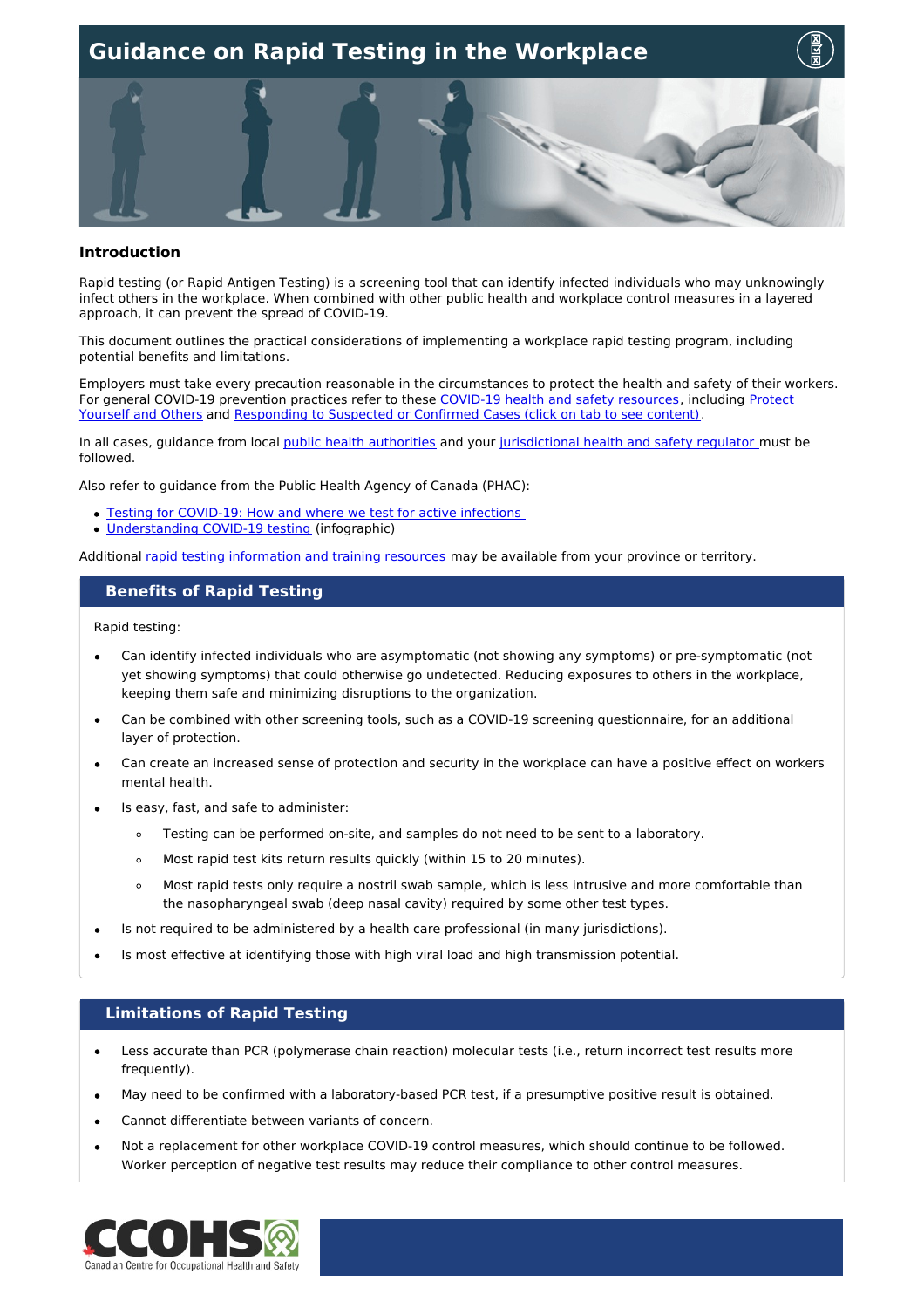

#### **Introduction**

Rapid testing (or Rapid Antigen Testing) is a screening tool that can identify infected individuals who may unknowingly infect others in the workplace. When combined with other public health and workplace control measures in a layered approach, it can prevent the spread of COVID-19.

This document outlines the practical considerations of implementing a workplace rapid testing program, including potential benefits and limitations.

Employers must take every precaution reasonable in the circumstances to protect the health and safety of their workers. For general COVID-19 prevention practices refer to these COVID-19 health and safety [resources](https://www.ccohs.ca/products/publications/covid19-tool-kit/), including Protect Yourself and Others and [Responding](https://www.ccohs.ca/covid19/protect-yourself/) to Suspected or Confirmed Cases (click on tab to see content).

In all cases, guidance from local public health [authorities](https://www.canada.ca/en/public-health/services/diseases/2019-novel-coronavirus-infection/symptoms/provincial-territorial-resources-covid-19.html) and your [jurisdictional](https://www.ccohs.ca/oshanswers/information/govt.html) health and safety regulator must be followed.

Also refer to guidance from the Public Health Agency of Canada (PHAC):

- Testing for [COVID-19:](https://www.canada.ca/en/public-health/services/diseases/2019-novel-coronavirus-infection/symptoms/testing/diagnosing.html) How and where we test for active infections
- [Understanding](https://www.canada.ca/en/public-health/services/publications/diseases-conditions/understanding-covid-19-testing.html) COVID-19 testing (infographic)

Additional rapid testing [information](https://www.canada.ca/en/public-health/services/diseases/2019-novel-coronavirus-infection/symptoms/testing/diagnosing.html#a2) and training resources may be available from your province or territory.

#### **Benefits of Rapid Testing**

Rapid testing:

- Can identify infected individuals who are asymptomatic (not showing any symptoms) or pre-symptomatic (not yet showing symptoms) that could otherwise go undetected. Reducing exposures to others in the workplace, keeping them safe and minimizing disruptions to the organization.
- Can be combined with other screening tools, such as a COVID-19 screening questionnaire, for an additional layer of protection.
- Can create an increased sense of protection and security in the workplace can have a positive effect on workers mental health.
- Is easy, fast, and safe to administer:
	- $\circ$ Testing can be performed on-site, and samples do not need to be sent to a laboratory.
	- Most rapid test kits return results quickly (within 15 to 20 minutes).  $\circ$
	- Most rapid tests only require a nostril swab sample, which is less intrusive and more comfortable than  $\circ$ the nasopharyngeal swab (deep nasal cavity) required by some other test types.
- Is not required to be administered by a health care professional (in many jurisdictions).
- Is most effective at identifying those with high viral load and high transmission potential.

### **Limitations of Rapid Testing**

- Less accurate than PCR (polymerase chain reaction) molecular tests (i.e., return incorrect test results more frequently).
- May need to be confirmed with a laboratory-based PCR test, if a presumptive positive result is obtained.
- Cannot differentiate between variants of concern.
- Not a replacement for other workplace COVID-19 control measures, which should continue to be followed. Worker perception of negative test results may reduce their compliance to other control measures.

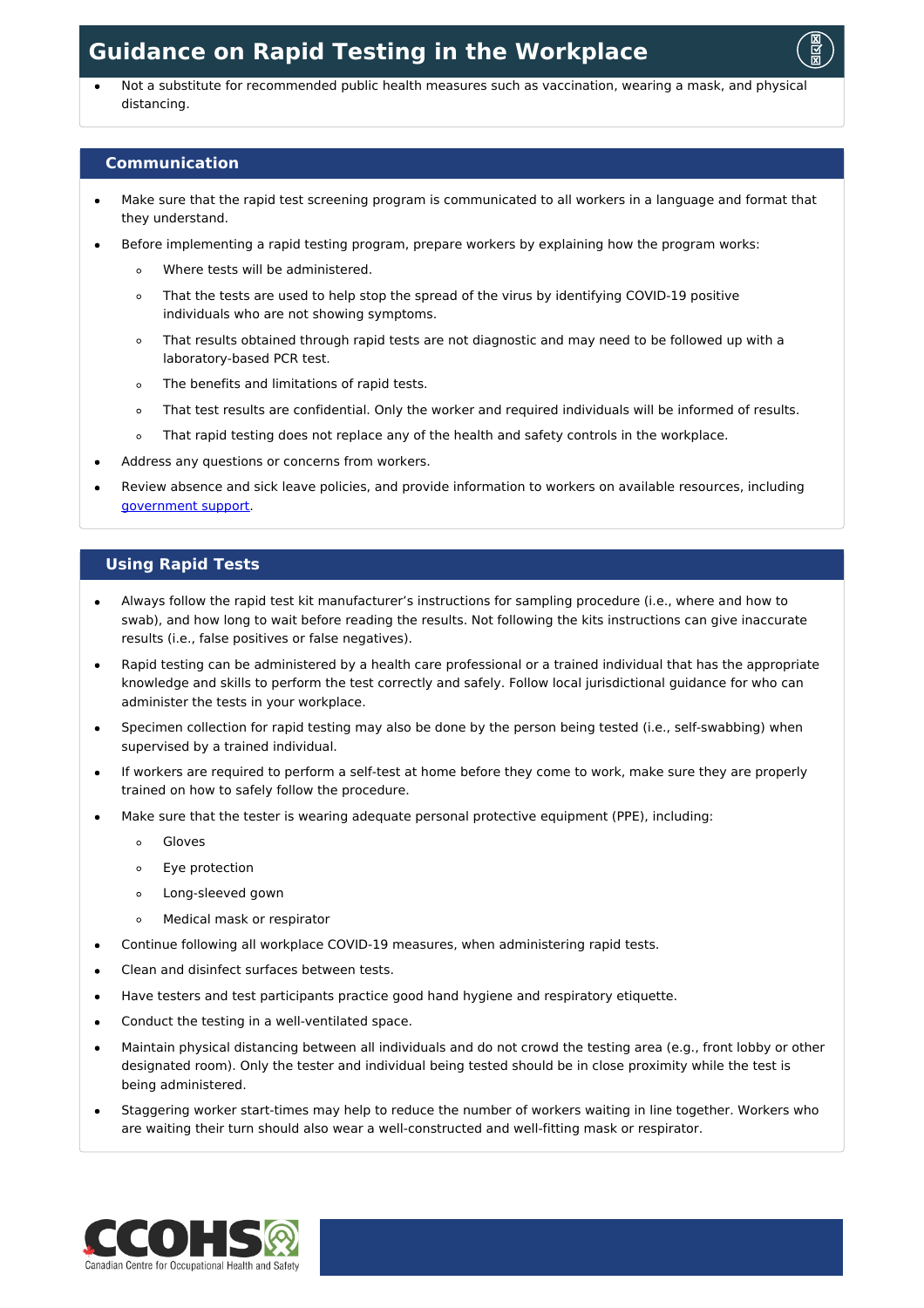

Not a substitute for recommended public health measures such as vaccination, wearing a mask, and physical distancing.

### **Communication**

- Make sure that the rapid test screening program is communicated to all workers in a language and format that they understand.
- Before implementing a rapid testing program, prepare workers by explaining how the program works:
	- Where tests will be administered.  $\circ$
	- That the tests are used to help stop the spread of the virus by identifying COVID-19 positive  $\circ$ individuals who are not showing symptoms.
	- That results obtained through rapid tests are not diagnostic and may need to be followed up with a  $\circ$ laboratory-based PCR test.
	- The benefits and limitations of rapid tests.  $\circ$
	- That test results are confidential. Only the worker and required individuals will be informed of results.  $\circ$
	- That rapid testing does not replace any of the health and safety controls in the workplace.  $\circ$
- Address any questions or concerns from workers.
- Review absence and sick leave policies, and provide information to workers on available resources, including [government](https://www.canada.ca/en/services/benefits/covid19-emergency-benefits.html) support.

### **Using Rapid Tests**

- Always follow the rapid test kit manufacturer's instructions for sampling procedure (i.e., where and how to swab), and how long to wait before reading the results. Not following the kits instructions can give inaccurate results (i.e., false positives or false negatives).
- Rapid testing can be administered by a health care professional or a trained individual that has the appropriate knowledge and skills to perform the test correctly and safely. Follow local jurisdictional guidance for who can administer the tests in your workplace.
- Specimen collection for rapid testing may also be done by the person being tested (i.e., self-swabbing) when supervised by a trained individual.
- If workers are required to perform a self-test at home before they come to work, make sure they are properly trained on how to safely follow the procedure.
- Make sure that the tester is wearing adequate personal protective equipment (PPE), including:
	- Gloves  $\circ$
	- Eye protection  $\circ$
	- $\circ$ Long-sleeved gown
	- $\circ$ Medical mask or respirator
- Continue following all workplace COVID-19 measures, when administering rapid tests.
- Clean and disinfect surfaces between tests.
- Have testers and test participants practice good hand hygiene and respiratory etiquette.
- Conduct the testing in a well-ventilated space.
- Maintain physical distancing between all individuals and do not crowd the testing area (e.g., front lobby or other designated room). Only the tester and individual being tested should be in close proximity while the test is being administered.
- Staggering worker start-times may help to reduce the number of workers waiting in line together. Workers who are waiting their turn should also wear a well-constructed and well-fitting mask or respirator.

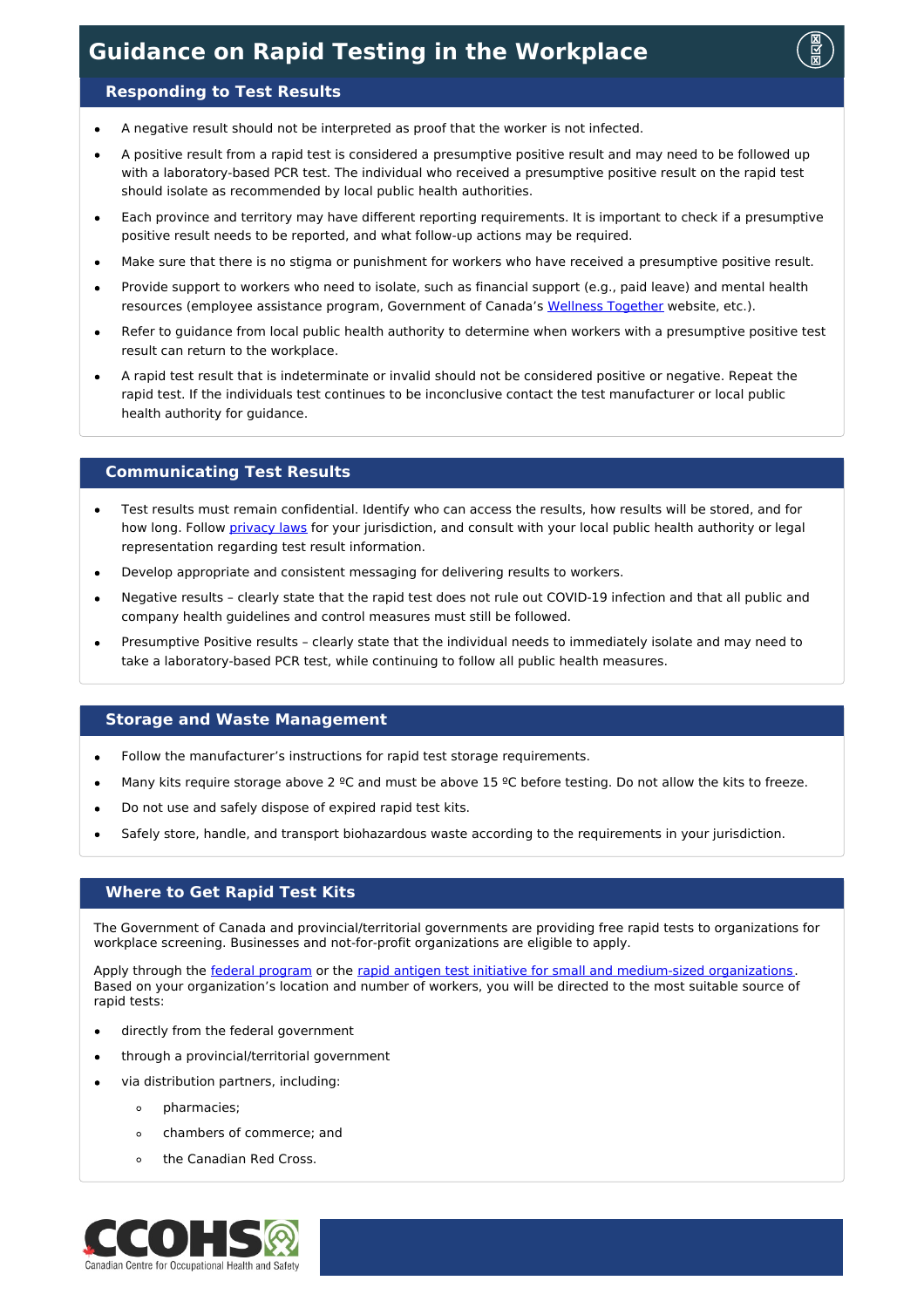

### **Responding to Test Results**

- A negative result should not be interpreted as proof that the worker is not infected.
- A positive result from a rapid test is considered a presumptive positive result and may need to be followed up with a laboratory-based PCR test. The individual who received a presumptive positive result on the rapid test should isolate as recommended by local public health authorities.
- Each province and territory may have different reporting requirements. It is important to check if a presumptive positive result needs to be reported, and what follow-up actions may be required.
- Make sure that there is no stigma or punishment for workers who have received a presumptive positive result.
- Provide support to workers who need to isolate, such as financial support (e.g., paid leave) and mental health resources (employee assistance program, Government of Canada's Wellness [Together](https://wellnesstogether.ca/en-CA) website, etc.).
- Refer to guidance from local public health authority to determine when workers with a presumptive positive test result can return to the workplace.
- A rapid test result that is indeterminate or invalid should not be considered positive or negative. Repeat the rapid test. If the individuals test continues to be inconclusive contact the test manufacturer or local public health authority for guidance.

#### **Communicating Test Results**

- Test results must remain confidential. Identify who can access the results, how results will be stored, and for how long. Follow [privacy](https://www.priv.gc.ca/en/privacy-topics/privacy-laws-in-canada/02_05_d_15/) laws for your jurisdiction, and consult with your local public health authority or legal representation regarding test result information.
- Develop appropriate and consistent messaging for delivering results to workers.
- Negative results clearly state that the rapid test does not rule out COVID-19 infection and that all public and company health guidelines and control measures must still be followed.
- Presumptive Positive results clearly state that the individual needs to immediately isolate and may need to take a laboratory-based PCR test, while continuing to follow all public health measures.

#### **Storage and Waste Management**

- Follow the manufacturer's instructions for rapid test storage requirements.  $\bullet$
- Many kits require storage above 2 °C and must be above 15 °C before testing. Do not allow the kits to freeze.
- Do not use and safely dispose of expired rapid test kits.
- Safely store, handle, and transport biohazardous waste according to the requirements in your jurisdiction.

#### **Where to Get Rapid Test Kits**

The Government of Canada and provincial/territorial governments are providing free rapid tests to organizations for workplace screening. Businesses and not-for-profit organizations are eligible to apply.

Apply through the federal [program](https://www.canada.ca/en/public-health/services/diseases/coronavirus-disease-covid-19/testing-screening-contact-tracing/rapid-tests-employees.html) or the rapid antigen test initiative for small and [medium-sized](https://www.canada.ca/en/public-health/services/diseases/coronavirus-disease-covid-19/testing-screening-contact-tracing/rapid-tests-employees/small-medium-organizations.html) organizations. Based on your organization's location and number of workers, you will be directed to the most suitable source of rapid tests:

- directly from the federal government  $\bullet$
- through a provincial/territorial government
- via distribution partners, including:
	- $\circ$ pharmacies;
	- chambers of commerce; and  $\circ$
	- the Canadian Red Cross.  $\circ$

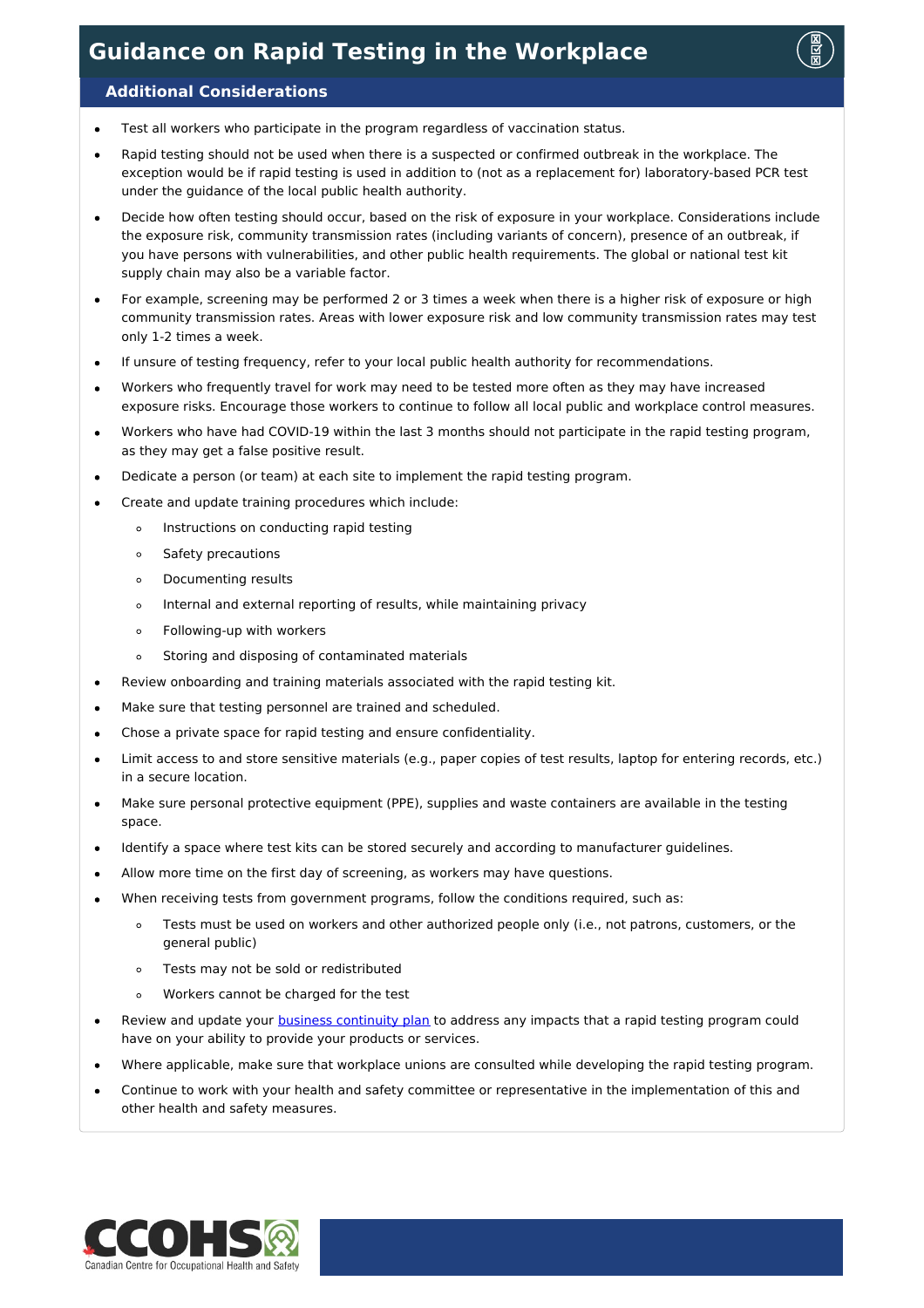

### **Additional Considerations**

- Test all workers who participate in the program regardless of vaccination status.  $\bullet$
- Rapid testing should not be used when there is a suspected or confirmed outbreak in the workplace. The exception would be if rapid testing is used in addition to (not as a replacement for) laboratory-based PCR test under the guidance of the local public health authority.
- Decide how often testing should occur, based on the risk of exposure in your workplace. Considerations include the exposure risk, community transmission rates (including variants of concern), presence of an outbreak, if you have persons with vulnerabilities, and other public health requirements. The global or national test kit supply chain may also be a variable factor.
- For example, screening may be performed 2 or 3 times a week when there is a higher risk of exposure or high  $\bullet$ community transmission rates. Areas with lower exposure risk and low community transmission rates may test only 1-2 times a week.
- If unsure of testing frequency, refer to your local public health authority for recommendations.
- Workers who frequently travel for work may need to be tested more often as they may have increased exposure risks. Encourage those workers to continue to follow all local public and workplace control measures.
- Workers who have had COVID-19 within the last 3 months should not participate in the rapid testing program, as they may get a false positive result.
- Dedicate a person (or team) at each site to implement the rapid testing program.
- Create and update training procedures which include:
	- Instructions on conducting rapid testing  $\circ$
	- Safety precautions  $\circ$
	- Documenting results  $\circ$
	- $\circ$ Internal and external reporting of results, while maintaining privacy
	- Following-up with workers  $\circ$
	- Storing and disposing of contaminated materials  $\circ$
- Review onboarding and training materials associated with the rapid testing kit.
- Make sure that testing personnel are trained and scheduled.
- Chose a private space for rapid testing and ensure confidentiality.
- Limit access to and store sensitive materials (e.g., paper copies of test results, laptop for entering records, etc.) in a secure location.
- Make sure personal protective equipment (PPE), supplies and waste containers are available in the testing space.
- Identify a space where test kits can be stored securely and according to manufacturer guidelines.  $\bullet$
- Allow more time on the first day of screening, as workers may have questions.
- When receiving tests from government programs, follow the conditions required, such as:
	- Tests must be used on workers and other authorized people only (i.e., not patrons, customers, or the  $\circ$ general public)
	- Tests may not be sold or redistributed  $\circ$
	- Workers cannot be charged for the test  $\circ$
- Review and update your business [continuity](https://www.ccohs.ca/products/publications/covid19-employers/) plan to address any impacts that a rapid testing program could have on your ability to provide your products or services.
- Where applicable, make sure that workplace unions are consulted while developing the rapid testing program.
- Continue to work with your health and safety committee or representative in the implementation of this and other health and safety measures.